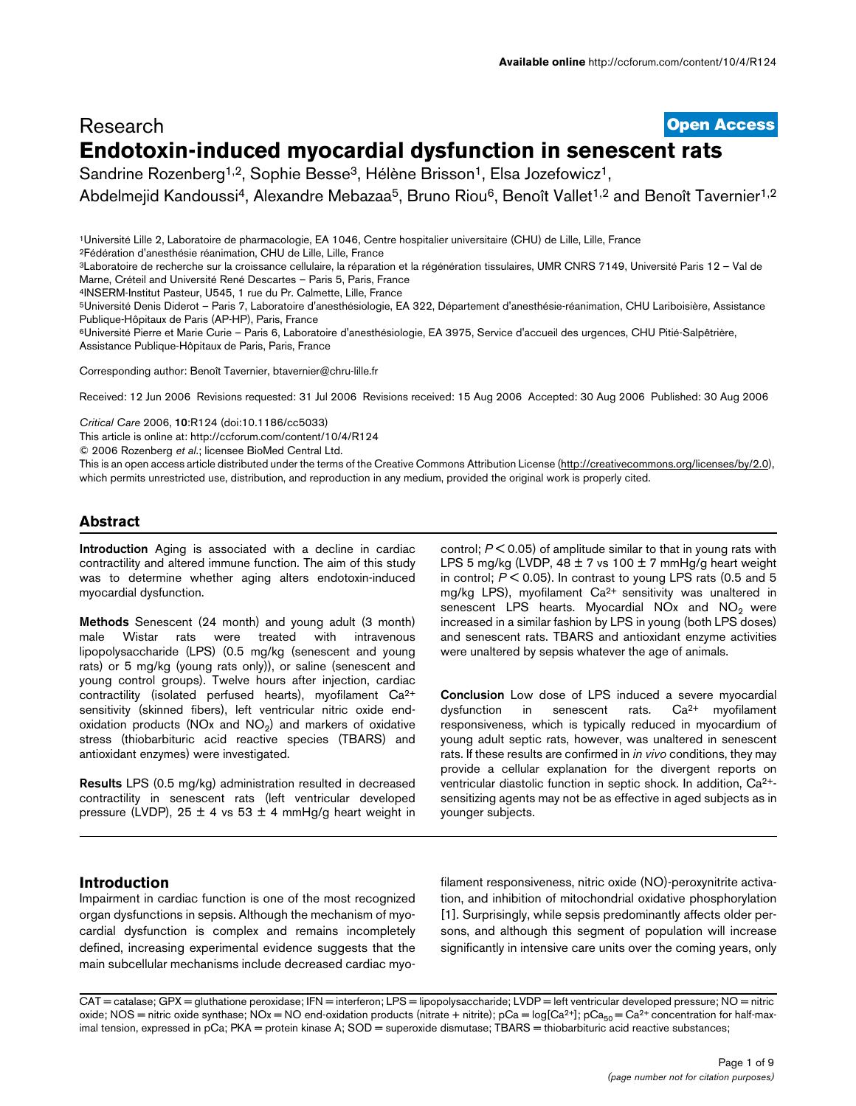# [Open Access](http://www.biomedcentral.com/info/about/charter/) Research **Endotoxin-induced myocardial dysfunction in senescent rats**

Sandrine Rozenberg<sup>1,2</sup>, Sophie Besse<sup>3</sup>, Hélène Brisson<sup>1</sup>, Elsa Jozefowicz<sup>1</sup>,

Abdelmejid Kandoussi<sup>4</sup>, Alexandre Mebazaa<sup>5</sup>, Bruno Riou<sup>6</sup>, Benoît Vallet<sup>1,2</sup> and Benoît Tavernier<sup>1,2</sup>

<sup>1</sup>Université Lille 2, Laboratoire de pharmacologie, EA 1046, Centre hospitalier universitaire (CHU) de Lille, Lille, France

<sup>2</sup>Fédération d'anesthésie réanimation, CHU de Lille, Lille, France

<sup>3</sup>Laboratoire de recherche sur la croissance cellulaire, la réparation et la régénération tissulaires, UMR CNRS 7149, Université Paris 12 – Val de Marne, Créteil and Université René Descartes – Paris 5, Paris, France

<sup>4</sup>INSERM-Institut Pasteur, U545, 1 rue du Pr. Calmette, Lille, France

<sup>5</sup>Université Denis Diderot – Paris 7, Laboratoire d'anesthésiologie, EA 322, Département d'anesthésie-réanimation, CHU Lariboisière, Assistance Publique-Hôpitaux de Paris (AP-HP), Paris, France

<sup>6</sup>Université Pierre et Marie Curie – Paris 6, Laboratoire d'anesthésiologie, EA 3975, Service d'accueil des urgences, CHU Pitié-Salpêtrière, Assistance Publique-Hôpitaux de Paris, Paris, France

Corresponding author: Benoît Tavernier, btavernier@chru-lille.fr

Received: 12 Jun 2006 Revisions requested: 31 Jul 2006 Revisions received: 15 Aug 2006 Accepted: 30 Aug 2006 Published: 30 Aug 2006

Critical Care 2006, 10:R124 (doi:10.1186/cc5033)

[This article is online at: http://ccforum.com/content/10/4/R124](http://ccforum.com/content/10/4/R124)

© 2006 Rozenberg et al.; licensee BioMed Central Ltd.

This is an open access article distributed under the terms of the Creative Commons Attribution License [\(http://creativecommons.org/licenses/by/2.0\)](http://creativecommons.org/licenses/by/2.0), which permits unrestricted use, distribution, and reproduction in any medium, provided the original work is properly cited.

# **Abstract**

Introduction Aging is associated with a decline in cardiac contractility and altered immune function. The aim of this study was to determine whether aging alters endotoxin-induced myocardial dysfunction.

Methods Senescent (24 month) and young adult (3 month) male Wistar rats were treated with intravenous lipopolysaccharide (LPS) (0.5 mg/kg (senescent and young rats) or 5 mg/kg (young rats only)), or saline (senescent and young control groups). Twelve hours after injection, cardiac contractility (isolated perfused hearts), myofilament Ca2+ sensitivity (skinned fibers), left ventricular nitric oxide endoxidation products (NOx and  $NO<sub>2</sub>$ ) and markers of oxidative stress (thiobarbituric acid reactive species (TBARS) and antioxidant enzymes) were investigated.

Results LPS (0.5 mg/kg) administration resulted in decreased contractility in senescent rats (left ventricular developed pressure (LVDP), 25  $\pm$  4 vs 53  $\pm$  4 mmHg/g heart weight in

control;  $P < 0.05$ ) of amplitude similar to that in young rats with LPS 5 mg/kg (LVDP, 48  $\pm$  7 vs 100  $\pm$  7 mmHg/g heart weight in control;  $P \le 0.05$ ). In contrast to young LPS rats (0.5 and 5 mg/kg LPS), myofilament Ca<sup>2+</sup> sensitivity was unaltered in senescent LPS hearts. Myocardial NO<sub>x</sub> and NO<sub>2</sub> were increased in a similar fashion by LPS in young (both LPS doses) and senescent rats. TBARS and antioxidant enzyme activities were unaltered by sepsis whatever the age of animals.

Conclusion Low dose of LPS induced a severe myocardial dysfunction in senescent rats. Ca<sup>2+</sup> myofilament responsiveness, which is typically reduced in myocardium of young adult septic rats, however, was unaltered in senescent rats. If these results are confirmed in in vivo conditions, they may provide a cellular explanation for the divergent reports on ventricular diastolic function in septic shock. In addition, Ca2+ sensitizing agents may not be as effective in aged subjects as in younger subjects.

# **Introduction**

Impairment in cardiac function is one of the most recognized organ dysfunctions in sepsis. Although the mechanism of myocardial dysfunction is complex and remains incompletely defined, increasing experimental evidence suggests that the main subcellular mechanisms include decreased cardiac myofilament responsiveness, nitric oxide (NO)-peroxynitrite activation, and inhibition of mitochondrial oxidative phosphorylation [1]. Surprisingly, while sepsis predominantly affects older persons, and although this segment of population will increase significantly in intensive care units over the coming years, only

CAT = catalase; GPX = gluthatione peroxidase; IFN = interferon; LPS = lipopolysaccharide; LVDP = left ventricular developed pressure; NO = nitric oxide; NOS = nitric oxide synthase; NOx = NO end-oxidation products (nitrate + nitrite); pCa = log[Ca<sup>2+</sup>]; pCa<sub>50</sub> = Ca<sup>2+</sup> concentration for half-maximal tension, expressed in pCa; PKA = protein kinase A; SOD = superoxide dismutase; TBARS = thiobarbituric acid reactive substances;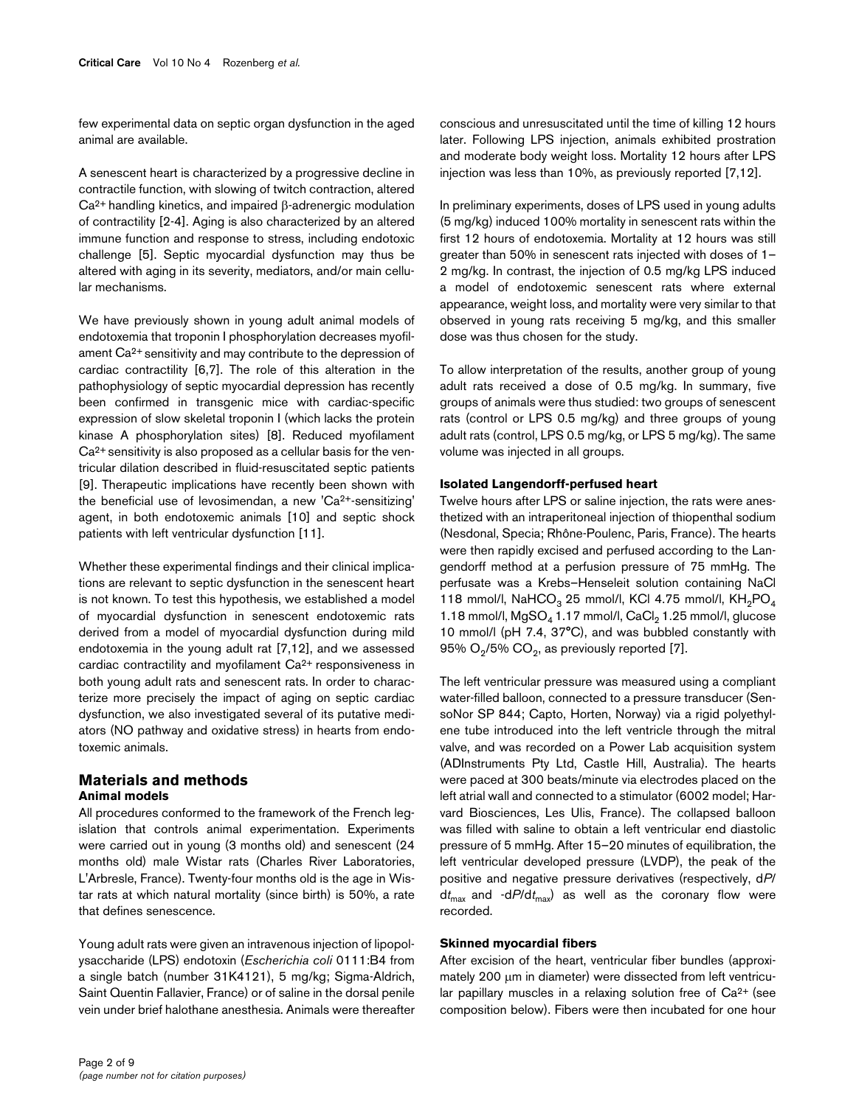few experimental data on septic organ dysfunction in the aged animal are available.

A senescent heart is characterized by a progressive decline in contractile function, with slowing of twitch contraction, altered Ca2+ handling kinetics, and impaired β-adrenergic modulation of contractility [2-4]. Aging is also characterized by an altered immune function and response to stress, including endotoxic challenge [5]. Septic myocardial dysfunction may thus be altered with aging in its severity, mediators, and/or main cellular mechanisms.

We have previously shown in young adult animal models of endotoxemia that troponin I phosphorylation decreases myofilament Ca2+ sensitivity and may contribute to the depression of cardiac contractility [6,7]. The role of this alteration in the pathophysiology of septic myocardial depression has recently been confirmed in transgenic mice with cardiac-specific expression of slow skeletal troponin I (which lacks the protein kinase A phosphorylation sites) [8]. Reduced myofilament Ca2+ sensitivity is also proposed as a cellular basis for the ventricular dilation described in fluid-resuscitated septic patients [\[9\]](#page-8-0). Therapeutic implications have recently been shown with the beneficial use of levosimendan, a new 'Ca2+-sensitizing' agent, in both endotoxemic animals [10] and septic shock patients with left ventricular dysfunction [11].

Whether these experimental findings and their clinical implications are relevant to septic dysfunction in the senescent heart is not known. To test this hypothesis, we established a model of myocardial dysfunction in senescent endotoxemic rats derived from a model of myocardial dysfunction during mild endotoxemia in the young adult rat [7,12], and we assessed cardiac contractility and myofilament Ca2+ responsiveness in both young adult rats and senescent rats. In order to characterize more precisely the impact of aging on septic cardiac dysfunction, we also investigated several of its putative mediators (NO pathway and oxidative stress) in hearts from endotoxemic animals.

## **Materials and methods Animal models**

All procedures conformed to the framework of the French legislation that controls animal experimentation. Experiments were carried out in young (3 months old) and senescent (24 months old) male Wistar rats (Charles River Laboratories, L'Arbresle, France). Twenty-four months old is the age in Wistar rats at which natural mortality (since birth) is 50%, a rate that defines senescence.

Young adult rats were given an intravenous injection of lipopolysaccharide (LPS) endotoxin (Escherichia coli 0111:B4 from a single batch (number 31K4121), 5 mg/kg; Sigma-Aldrich, Saint Quentin Fallavier, France) or of saline in the dorsal penile vein under brief halothane anesthesia. Animals were thereafter conscious and unresuscitated until the time of killing 12 hours later. Following LPS injection, animals exhibited prostration and moderate body weight loss. Mortality 12 hours after LPS injection was less than 10%, as previously reported [7,12].

In preliminary experiments, doses of LPS used in young adults (5 mg/kg) induced 100% mortality in senescent rats within the first 12 hours of endotoxemia. Mortality at 12 hours was still greater than 50% in senescent rats injected with doses of 1– 2 mg/kg. In contrast, the injection of 0.5 mg/kg LPS induced a model of endotoxemic senescent rats where external appearance, weight loss, and mortality were very similar to that observed in young rats receiving 5 mg/kg, and this smaller dose was thus chosen for the study.

To allow interpretation of the results, another group of young adult rats received a dose of 0.5 mg/kg. In summary, five groups of animals were thus studied: two groups of senescent rats (control or LPS 0.5 mg/kg) and three groups of young adult rats (control, LPS 0.5 mg/kg, or LPS 5 mg/kg). The same volume was injected in all groups.

### **Isolated Langendorff-perfused heart**

Twelve hours after LPS or saline injection, the rats were anesthetized with an intraperitoneal injection of thiopenthal sodium (Nesdonal, Specia; Rhône-Poulenc, Paris, France). The hearts were then rapidly excised and perfused according to the Langendorff method at a perfusion pressure of 75 mmHg. The perfusate was a Krebs–Henseleit solution containing NaCl 118 mmol/l, NaHCO<sub>3</sub> 25 mmol/l, KCl 4.75 mmol/l,  $KH_2PO_4$ 1.18 mmol/l,  $MgSO<sub>4</sub>$  1.17 mmol/l,  $CaCl<sub>2</sub>$  1.25 mmol/l, glucose 10 mmol/l (pH 7.4, 37°C), and was bubbled constantly with 95%  $O_2$ /5%  $CO_2$ , as previously reported [7].

The left ventricular pressure was measured using a compliant water-filled balloon, connected to a pressure transducer (SensoNor SP 844; Capto, Horten, Norway) via a rigid polyethylene tube introduced into the left ventricle through the mitral valve, and was recorded on a Power Lab acquisition system (ADInstruments Pty Ltd, Castle Hill, Australia). The hearts were paced at 300 beats/minute via electrodes placed on the left atrial wall and connected to a stimulator (6002 model; Harvard Biosciences, Les Ulis, France). The collapsed balloon was filled with saline to obtain a left ventricular end diastolic pressure of 5 mmHg. After 15–20 minutes of equilibration, the left ventricular developed pressure (LVDP), the peak of the positive and negative pressure derivatives (respectively, dP/  $dt_{\text{max}}$  and -dP/d $t_{\text{max}}$ ) as well as the coronary flow were recorded.

#### **Skinned myocardial fibers**

After excision of the heart, ventricular fiber bundles (approximately 200  $\mu$ m in diameter) were dissected from left ventricular papillary muscles in a relaxing solution free of Ca2+ (see composition below). Fibers were then incubated for one hour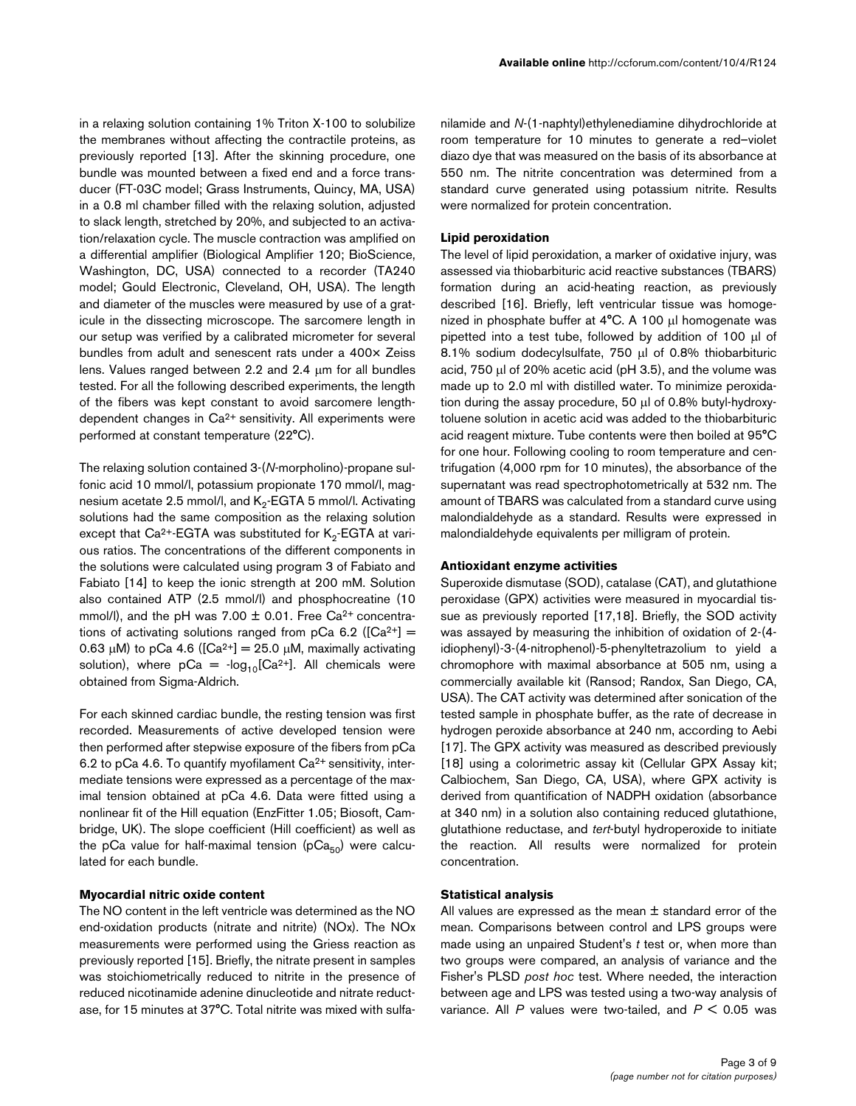in a relaxing solution containing 1% Triton X-100 to solubilize the membranes without affecting the contractile proteins, as previously reported [13]. After the skinning procedure, one bundle was mounted between a fixed end and a force transducer (FT-03C model; Grass Instruments, Quincy, MA, USA) in a 0.8 ml chamber filled with the relaxing solution, adjusted to slack length, stretched by 20%, and subjected to an activation/relaxation cycle. The muscle contraction was amplified on a differential amplifier (Biological Amplifier 120; BioScience, Washington, DC, USA) connected to a recorder (TA240 model; Gould Electronic, Cleveland, OH, USA). The length and diameter of the muscles were measured by use of a graticule in the dissecting microscope. The sarcomere length in our setup was verified by a calibrated micrometer for several bundles from adult and senescent rats under a 400× Zeiss lens. Values ranged between 2.2 and 2.4 µm for all bundles tested. For all the following described experiments, the length of the fibers was kept constant to avoid sarcomere lengthdependent changes in Ca2+ sensitivity. All experiments were performed at constant temperature (22°C).

The relaxing solution contained 3-(N-morpholino)-propane sulfonic acid 10 mmol/l, potassium propionate 170 mmol/l, magnesium acetate 2.5 mmol/l, and  $\mathsf{K}_2\text{-}\mathsf{EGTA}$  5 mmol/l. Activating solutions had the same composition as the relaxing solution except that Ca<sup>2+</sup>-EGTA was substituted for K<sub>2</sub>-EGTA at various ratios. The concentrations of the different components in the solutions were calculated using program 3 of Fabiato and Fabiato [14] to keep the ionic strength at 200 mM. Solution also contained ATP (2.5 mmol/l) and phosphocreatine (10 mmol/l), and the pH was 7.00  $\pm$  0.01. Free Ca<sup>2+</sup> concentrations of activating solutions ranged from pCa 6.2 ( $[Ca^{2+}]$  = 0.63  $\mu$ M) to pCa 4.6 ([Ca<sup>2+</sup>] = 25.0  $\mu$ M, maximally activating solution), where  $pCa = -log_{10}[Ca^{2+}]$ . All chemicals were obtained from Sigma-Aldrich.

For each skinned cardiac bundle, the resting tension was first recorded. Measurements of active developed tension were then performed after stepwise exposure of the fibers from pCa 6.2 to pCa 4.6. To quantify myofilament Ca2+ sensitivity, intermediate tensions were expressed as a percentage of the maximal tension obtained at pCa 4.6. Data were fitted using a nonlinear fit of the Hill equation (EnzFitter 1.05; Biosoft, Cambridge, UK). The slope coefficient (Hill coefficient) as well as the pCa value for half-maximal tension ( $pCa<sub>50</sub>$ ) were calculated for each bundle.

### **Myocardial nitric oxide content**

The NO content in the left ventricle was determined as the NO end-oxidation products (nitrate and nitrite) (NOx). The NOx measurements were performed using the Griess reaction as previously reported [15]. Briefly, the nitrate present in samples was stoichiometrically reduced to nitrite in the presence of reduced nicotinamide adenine dinucleotide and nitrate reductase, for 15 minutes at 37°C. Total nitrite was mixed with sulfa-

nilamide and N-(1-naphtyl)ethylenediamine dihydrochloride at room temperature for 10 minutes to generate a red–violet diazo dye that was measured on the basis of its absorbance at 550 nm. The nitrite concentration was determined from a standard curve generated using potassium nitrite. Results were normalized for protein concentration.

#### **Lipid peroxidation**

The level of lipid peroxidation, a marker of oxidative injury, was assessed via thiobarbituric acid reactive substances (TBARS) formation during an acid-heating reaction, as previously described [16]. Briefly, left ventricular tissue was homogenized in phosphate buffer at 4°C. A 100 µl homogenate was pipetted into a test tube, followed by addition of 100 µl of 8.1% sodium dodecylsulfate, 750 µl of 0.8% thiobarbituric acid, 750 µl of 20% acetic acid (pH 3.5), and the volume was made up to 2.0 ml with distilled water. To minimize peroxidation during the assay procedure, 50 µl of 0.8% butyl-hydroxytoluene solution in acetic acid was added to the thiobarbituric acid reagent mixture. Tube contents were then boiled at 95°C for one hour. Following cooling to room temperature and centrifugation (4,000 rpm for 10 minutes), the absorbance of the supernatant was read spectrophotometrically at 532 nm. The amount of TBARS was calculated from a standard curve using malondialdehyde as a standard. Results were expressed in malondialdehyde equivalents per milligram of protein.

#### **Antioxidant enzyme activities**

Superoxide dismutase (SOD), catalase (CAT), and glutathione peroxidase (GPX) activities were measured in myocardial tissue as previously reported [17,18]. Briefly, the SOD activity was assayed by measuring the inhibition of oxidation of 2-(4 idiophenyl)-3-(4-nitrophenol)-5-phenyltetrazolium to yield a chromophore with maximal absorbance at 505 nm, using a commercially available kit (Ransod; Randox, San Diego, CA, USA). The CAT activity was determined after sonication of the tested sample in phosphate buffer, as the rate of decrease in hydrogen peroxide absorbance at 240 nm, according to Aebi [17]. The GPX activity was measured as described previously [18] using a colorimetric assay kit (Cellular GPX Assay kit; Calbiochem, San Diego, CA, USA), where GPX activity is derived from quantification of NADPH oxidation (absorbance at 340 nm) in a solution also containing reduced glutathione, glutathione reductase, and tert-butyl hydroperoxide to initiate the reaction. All results were normalized for protein concentration.

#### **Statistical analysis**

All values are expressed as the mean  $\pm$  standard error of the mean. Comparisons between control and LPS groups were made using an unpaired Student's  $t$  test or, when more than two groups were compared, an analysis of variance and the Fisher's PLSD post hoc test. Where needed, the interaction between age and LPS was tested using a two-way analysis of variance. All P values were two-tailed, and  $P < 0.05$  was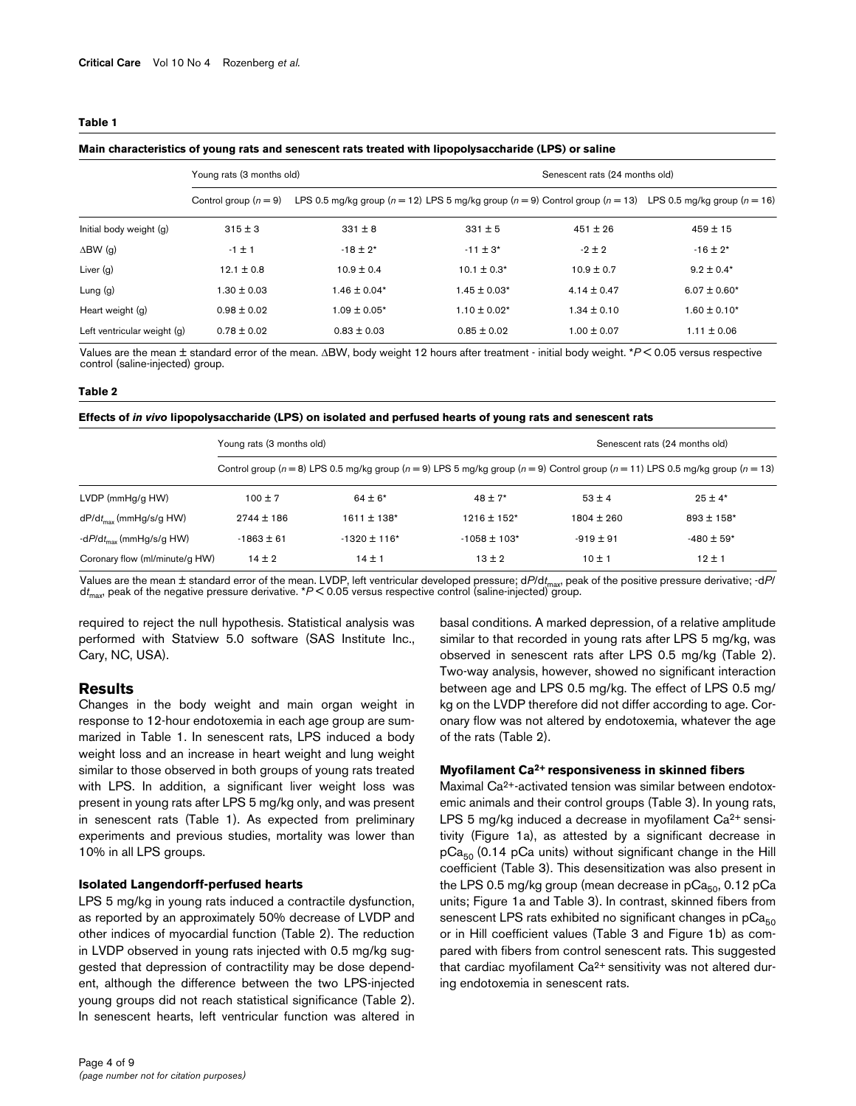### <span id="page-3-0"></span>**Table 1**

#### **Main characteristics of young rats and senescent rats treated with lipopolysaccharide (LPS) or saline**

|                             | Young rats (3 months old) |                   |                   | Senescent rats (24 months old) |                                                                                                                            |  |  |
|-----------------------------|---------------------------|-------------------|-------------------|--------------------------------|----------------------------------------------------------------------------------------------------------------------------|--|--|
|                             | Control group $(n=9)$     |                   |                   |                                | LPS 0.5 mg/kg group ( $n = 12$ ) LPS 5 mg/kg group ( $n = 9$ ) Control group ( $n = 13$ ) LPS 0.5 mg/kg group ( $n = 16$ ) |  |  |
| Initial body weight (g)     | $315 \pm 3$               | $331 \pm 8$       | $331 \pm 5$       | $451 \pm 26$                   | $459 \pm 15$                                                                                                               |  |  |
| $\triangle$ BW (g)          | $-1 \pm 1$                | $-18 \pm 2^{*}$   | $-11 \pm 3$ *     | $-2 \pm 2$                     | $-16 \pm 2^{*}$                                                                                                            |  |  |
| Liver (g)                   | $12.1 \pm 0.8$            | $10.9 \pm 0.4$    | $10.1 \pm 0.3^*$  | $10.9 \pm 0.7$                 | $9.2 \pm 0.4*$                                                                                                             |  |  |
| Lung $(g)$                  | $1.30 \pm 0.03$           | $1.46 \pm 0.04*$  | $1.45 \pm 0.03*$  | $4.14 \pm 0.47$                | $6.07 \pm 0.60^*$                                                                                                          |  |  |
| Heart weight (g)            | $0.98 \pm 0.02$           | $1.09 \pm 0.05$ * | $1.10 \pm 0.02$ * | $1.34 \pm 0.10$                | $1.60 \pm 0.10*$                                                                                                           |  |  |
| Left ventricular weight (g) | $0.78 \pm 0.02$           | $0.83 \pm 0.03$   | $0.85 \pm 0.02$   | $1.00 \pm 0.07$                | $1.11 \pm 0.06$                                                                                                            |  |  |

Values are the mean ± standard error of the mean. ∆BW, body weight 12 hours after treatment - initial body weight. \*P < 0.05 versus respective control (saline-injected) group.

#### <span id="page-3-1"></span>**Table 2**

#### **Effects of in vivo lipopolysaccharide (LPS) on isolated and perfused hearts of young rats and senescent rats**

|                                      | Young rats (3 months old) |                   |                   | Senescent rats (24 months old) |                                                                                                                                                     |  |
|--------------------------------------|---------------------------|-------------------|-------------------|--------------------------------|-----------------------------------------------------------------------------------------------------------------------------------------------------|--|
|                                      |                           |                   |                   |                                | Control group ( $n = 8$ ) LPS 0.5 mg/kg group ( $n = 9$ ) LPS 5 mg/kg group ( $n = 9$ ) Control group ( $n = 11$ ) LPS 0.5 mg/kg group ( $n = 13$ ) |  |
| LVDP (mmHg/g HW)                     | $100 \pm 7$               | $64 \pm 6*$       | $48 \pm 7$ *      | $53 \pm 4$                     | $25 \pm 4*$                                                                                                                                         |  |
| $dP/dt_{max}$ (mmHg/s/g HW)          | $2744 \pm 186$            | $1611 \pm 138$ *  | $1216 \pm 152$ *  | $1804 \pm 260$                 | $893 \pm 158$ *                                                                                                                                     |  |
| -d $P/dt_{\text{max}}$ (mmHg/s/g HW) | $-1863 \pm 61$            | $-1320 \pm 116$ * | $-1058 \pm 103$ * | $-919 \pm 91$                  | $-480 \pm 59*$                                                                                                                                      |  |
| Coronary flow (ml/minute/q HW)       | $14 \pm 2$                | $14 \pm 1$        | $13 \pm 2$        | $10 \pm 1$                     | $12 \pm 1$                                                                                                                                          |  |

Values are the mean  $\pm$  standard error of the mean. LVDP, left ventricular developed pressure; dP/dt<sub>max</sub>, peak of the positive pressure derivative; -dP/  $dt_{\text{max}}$ , peak of the negative pressure derivative. \*P < 0.05 versus respective control (saline-injected) group.

required to reject the null hypothesis. Statistical analysis was performed with Statview 5.0 software (SAS Institute Inc., Cary, NC, USA).

### **Results**

Changes in the body weight and main organ weight in response to 12-hour endotoxemia in each age group are summarized in Table [1.](#page-3-0) In senescent rats, LPS induced a body weight loss and an increase in heart weight and lung weight similar to those observed in both groups of young rats treated with LPS. In addition, a significant liver weight loss was present in young rats after LPS 5 mg/kg only, and was present in senescent rats (Table [1\)](#page-3-0). As expected from preliminary experiments and previous studies, mortality was lower than 10% in all LPS groups.

### **Isolated Langendorff-perfused hearts**

LPS 5 mg/kg in young rats induced a contractile dysfunction, as reported by an approximately 50% decrease of LVDP and other indices of myocardial function (Table [2\)](#page-3-1). The reduction in LVDP observed in young rats injected with 0.5 mg/kg suggested that depression of contractility may be dose dependent, although the difference between the two LPS-injected young groups did not reach statistical significance (Table [2\)](#page-3-1). In senescent hearts, left ventricular function was altered in basal conditions. A marked depression, of a relative amplitude similar to that recorded in young rats after LPS 5 mg/kg, was observed in senescent rats after LPS 0.5 mg/kg (Table [2](#page-3-1)). Two-way analysis, however, showed no significant interaction between age and LPS 0.5 mg/kg. The effect of LPS 0.5 mg/ kg on the LVDP therefore did not differ according to age. Coronary flow was not altered by endotoxemia, whatever the age of the rats (Table [2](#page-3-1)).

### **Myofilament Ca2+ responsiveness in skinned fibers**

Maximal Ca2+-activated tension was similar between endotoxemic animals and their control groups (Table 3). In young rats, LPS 5 mg/kg induced a decrease in myofilament Ca<sup>2+</sup> sensitivity (Figure 1a), as attested by a significant decrease in  $pCa<sub>50</sub>$  (0.14 pCa units) without significant change in the Hill coefficient (Table 3). This desensitization was also present in the LPS 0.5 mg/kg group (mean decrease in  $pCa<sub>50</sub>$ , 0.12 pCa units; Figure 1a and Table 3). In contrast, skinned fibers from senescent LPS rats exhibited no significant changes in  $pCa<sub>50</sub>$ or in Hill coefficient values (Table 3 and Figure 1b) as compared with fibers from control senescent rats. This suggested that cardiac myofilament Ca<sup>2+</sup> sensitivity was not altered during endotoxemia in senescent rats.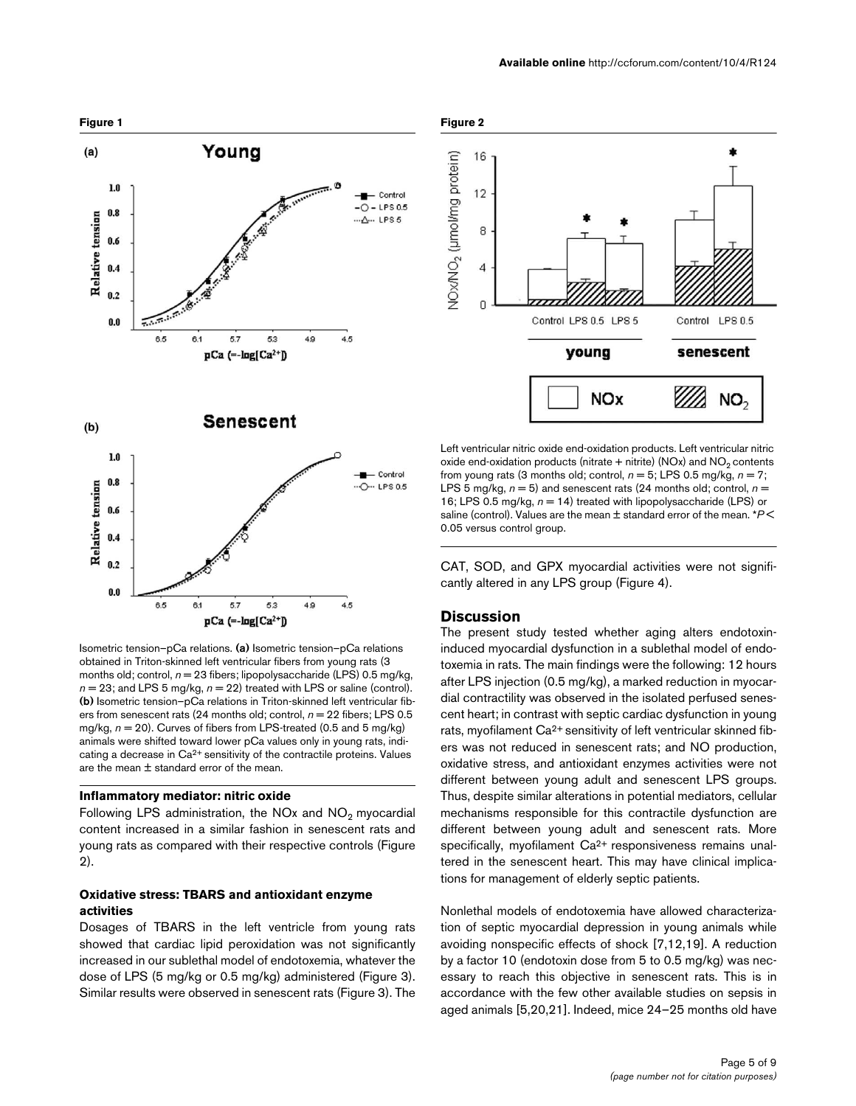

Isometric tension–pCa relations. (a) Isometric tension–pCa relations obtained in Triton-skinned left ventricular fibers from young rats (3 months old; control,  $n = 23$  fibers; lipopolysaccharide (LPS) 0.5 mg/kg,  $n = 23$ ; and LPS 5 mg/kg,  $n = 22$ ) treated with LPS or saline (control). (b) Isometric tension–pCa relations in Triton-skinned left ventricular fibers from senescent rats (24 months old; control,  $n = 22$  fibers; LPS 0.5 mg/kg,  $n = 20$ ). Curves of fibers from LPS-treated (0.5 and 5 mg/kg) animals were shifted toward lower pCa values only in young rats, indicating a decrease in Ca<sup>2+</sup> sensitivity of the contractile proteins. Values are the mean ± standard error of the mean.

### **Inflammatory mediator: nitric oxide**

Following LPS administration, the NOx and  $NO<sub>2</sub>$  myocardial content increased in a similar fashion in senescent rats and young rats as compared with their respective controls (Figure 2).

## **Oxidative stress: TBARS and antioxidant enzyme activities**

Dosages of TBARS in the left ventricle from young rats showed that cardiac lipid peroxidation was not significantly increased in our sublethal model of endotoxemia, whatever the dose of LPS (5 mg/kg or 0.5 mg/kg) administered (Figure 3). Similar results were observed in senescent rats (Figure 3). The



Left ventricular nitric oxide end-oxidation products. Left ventricular nitric oxide end-oxidation products (nitrate + nitrite) (NOx) and  $NO<sub>2</sub>$  contents from young rats (3 months old; control,  $n = 5$ ; LPS 0.5 mg/kg,  $n = 7$ ; LPS 5 mg/kg,  $n = 5$ ) and senescent rats (24 months old; control,  $n =$ 16; LPS 0.5 mg/kg,  $n = 14$ ) treated with lipopolysaccharide (LPS) or saline (control). Values are the mean  $\pm$  standard error of the mean.  $*P$ < 0.05 versus control group.

CAT, SOD, and GPX myocardial activities were not significantly altered in any LPS group (Figure 4).

#### **Discussion**

The present study tested whether aging alters endotoxininduced myocardial dysfunction in a sublethal model of endotoxemia in rats. The main findings were the following: 12 hours after LPS injection (0.5 mg/kg), a marked reduction in myocardial contractility was observed in the isolated perfused senescent heart; in contrast with septic cardiac dysfunction in young rats, myofilament Ca<sup>2+</sup> sensitivity of left ventricular skinned fibers was not reduced in senescent rats; and NO production, oxidative stress, and antioxidant enzymes activities were not different between young adult and senescent LPS groups. Thus, despite similar alterations in potential mediators, cellular mechanisms responsible for this contractile dysfunction are different between young adult and senescent rats. More specifically, myofilament Ca<sup>2+</sup> responsiveness remains unaltered in the senescent heart. This may have clinical implications for management of elderly septic patients.

Nonlethal models of endotoxemia have allowed characterization of septic myocardial depression in young animals while avoiding nonspecific effects of shock [7,12,19]. A reduction by a factor 10 (endotoxin dose from 5 to 0.5 mg/kg) was necessary to reach this objective in senescent rats. This is in accordance with the few other available studies on sepsis in aged animals [5,20,21]. Indeed, mice 24–25 months old have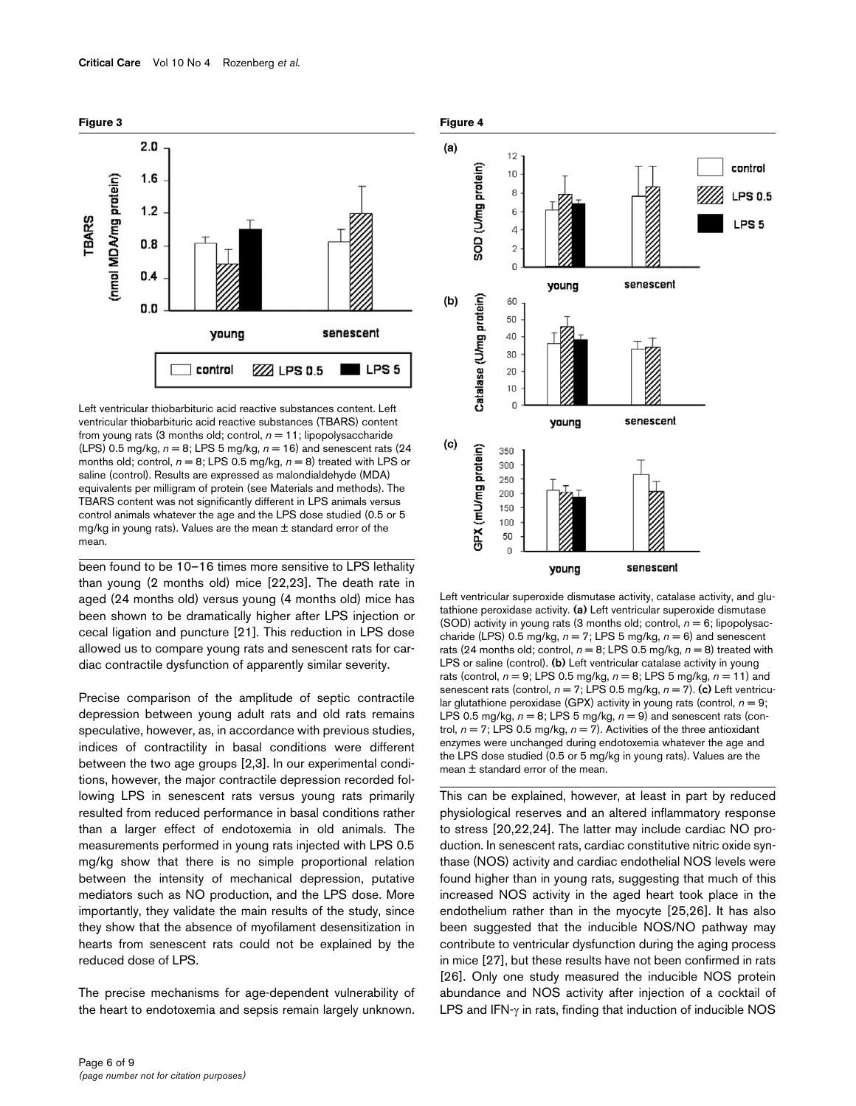

Left ventricular thiobarbituric acid reactive substances content. Left ventricular thiobarbituric acid reactive substances (TBARS) content from young rats (3 months old; control,  $n = 11$ ; lipopolysaccharide (LPS) 0.5 mg/kg,  $n = 8$ ; LPS 5 mg/kg,  $n = 16$ ) and senescent rats (24 months old; control,  $n = 8$ ; LPS 0.5 mg/kg,  $n = 8$ ) treated with LPS or saline (control). Results are expressed as malondialdehyde (MDA) equivalents per milligram of protein (see Materials and methods). The TBARS content was not significantly different in LPS animals versus control animals whatever the age and the LPS dose studied (0.5 or 5 mg/kg in young rats). Values are the mean  $\pm$  standard error of the mean.

been found to be 10–16 times more sensitive to LPS lethality than young (2 months old) mice [22,23]. The death rate in aged (24 months old) versus young (4 months old) mice has been shown to be dramatically higher after LPS injection or cecal ligation and puncture [21]. This reduction in LPS dose allowed us to compare young rats and senescent rats for cardiac contractile dysfunction of apparently similar severity.

Precise comparison of the amplitude of septic contractile depression between young adult rats and old rats remains speculative, however, as, in accordance with previous studies, indices of contractility in basal conditions were different between the two age groups [2,3]. In our experimental conditions, however, the major contractile depression recorded following LPS in senescent rats versus young rats primarily resulted from reduced performance in basal conditions rather than a larger effect of endotoxemia in old animals. The measurements performed in young rats injected with LPS 0.5 mg/kg show that there is no simple proportional relation between the intensity of mechanical depression, putative mediators such as NO production, and the LPS dose. More importantly, they validate the main results of the study, since they show that the absence of myofilament desensitization in hearts from senescent rats could not be explained by the reduced dose of LPS.

The precise mechanisms for age-dependent vulnerability of the heart to endotoxemia and sepsis remain largely unknown.



Left ventricular superoxide dismutase activity, catalase activity, and glutathione peroxidase activity. (a) Left ventricular superoxide dismutase (SOD) activity in young rats (3 months old; control,  $n = 6$ ; lipopolysaccharide (LPS) 0.5 mg/kg,  $n = 7$ ; LPS 5 mg/kg,  $n = 6$ ) and senescent rats (24 months old; control,  $n = 8$ ; LPS 0.5 mg/kg,  $n = 8$ ) treated with LPS or saline (control). (b) Left ventricular catalase activity in young rats (control,  $n = 9$ ; LPS 0.5 mg/kg,  $n = 8$ ; LPS 5 mg/kg,  $n = 11$ ) and senescent rats (control,  $n = 7$ ; LPS 0.5 mg/kg,  $n = 7$ ). (c) Left ventricular glutathione peroxidase (GPX) activity in young rats (control,  $n = 9$ ; LPS 0.5 mg/kg,  $n = 8$ ; LPS 5 mg/kg,  $n = 9$ ) and senescent rats (control,  $n = 7$ ; LPS 0.5 mg/kg,  $n = 7$ ). Activities of the three antioxidant enzymes were unchanged during endotoxemia whatever the age and the LPS dose studied (0.5 or 5 mg/kg in young rats). Values are the mean ± standard error of the mean.

This can be explained, however, at least in part by reduced physiological reserves and an altered inflammatory response to stress [20,22,24]. The latter may include cardiac NO production. In senescent rats, cardiac constitutive nitric oxide synthase (NOS) activity and cardiac endothelial NOS levels were found higher than in young rats, suggesting that much of this increased NOS activity in the aged heart took place in the endothelium rather than in the myocyte [25,26]. It has also been suggested that the inducible NOS/NO pathway may contribute to ventricular dysfunction during the aging process in mice [27], but these results have not been confirmed in rats [26]. Only one study measured the inducible NOS protein abundance and NOS activity after injection of a cocktail of LPS and IFN-γ in rats, finding that induction of inducible NOS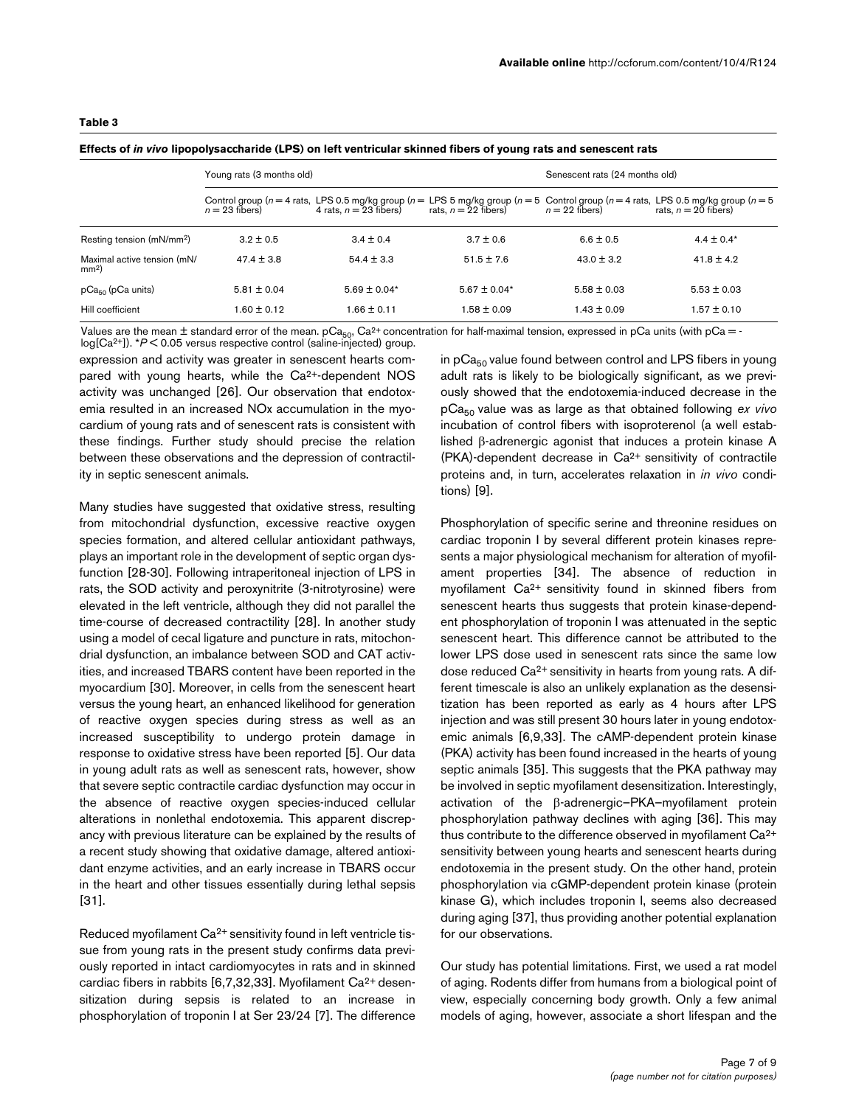|                                                | Young rats (3 months old) |                          |                        | Senescent rats (24 months old) |                                                                                                                                                              |  |  |  |
|------------------------------------------------|---------------------------|--------------------------|------------------------|--------------------------------|--------------------------------------------------------------------------------------------------------------------------------------------------------------|--|--|--|
|                                                | $n = 23$ fibers)          | 4 rats. $n = 23$ fibers) | rats. $n = 22$ fibers) | $n = 22$ fibers)               | Control group (n = 4 rats, LPS 0.5 mg/kg group (n = LPS 5 mg/kg group (n = 5 Control group (n = 4 rats, LPS 0.5 mg/kg group (n = 5<br>rats. $n = 20$ fibers) |  |  |  |
| Resting tension (mN/mm <sup>2</sup> )          | $3.2 \pm 0.5$             | $3.4 \pm 0.4$            | $3.7 \pm 0.6$          | $6.6 \pm 0.5$                  | $4.4 \pm 0.4*$                                                                                                                                               |  |  |  |
| Maximal active tension (mN/<br>mm <sup>2</sup> | $47.4 \pm 3.8$            | $54.4 \pm 3.3$           | $51.5 \pm 7.6$         | $43.0 \pm 3.2$                 | $41.8 \pm 4.2$                                                                                                                                               |  |  |  |
| $pCa50$ (pCa units)                            | $5.81 \pm 0.04$           | $5.69 \pm 0.04*$         | $5.67 \pm 0.04*$       | $5.58 \pm 0.03$                | $5.53 \pm 0.03$                                                                                                                                              |  |  |  |
| Hill coefficient                               | $1.60 \pm 0.12$           | $1.66 \pm 0.11$          | $1.58 \pm 0.09$        | $1.43 \pm 0.09$                | $1.57 \pm 0.10$                                                                                                                                              |  |  |  |

**Effects of in vivo lipopolysaccharide (LPS) on left ventricular skinned fibers of young rats and senescent rats**

Values are the mean  $\pm$  standard error of the mean. pCa<sub>50</sub>, Ca<sup>2+</sup> concentration for half-maximal tension, expressed in pCa units (with pCa = -

expression and activity was greater in senescent hearts compared with young hearts, while the Ca<sup>2+</sup>-dependent NOS activity was unchanged [26]. Our observation that endotoxemia resulted in an increased NOx accumulation in the myocardium of young rats and of senescent rats is consistent with these findings. Further study should precise the relation between these observations and the depression of contractility in septic senescent animals.  $log[Ca^{2+}]$ ). \* $P < 0.05$  versus respective control (saline-injected) group.

Many studies have suggested that oxidative stress, resulting from mitochondrial dysfunction, excessive reactive oxygen species formation, and altered cellular antioxidant pathways, plays an important role in the development of septic organ dysfunction [28-30]. Following intraperitoneal injection of LPS in rats, the SOD activity and peroxynitrite (3-nitrotyrosine) were elevated in the left ventricle, although they did not parallel the time-course of decreased contractility [28]. In another study using a model of cecal ligature and puncture in rats, mitochondrial dysfunction, an imbalance between SOD and CAT activities, and increased TBARS content have been reported in the myocardium [30]. Moreover, in cells from the senescent heart versus the young heart, an enhanced likelihood for generation of reactive oxygen species during stress as well as an increased susceptibility to undergo protein damage in response to oxidative stress have been reported [5]. Our data in young adult rats as well as senescent rats, however, show that severe septic contractile cardiac dysfunction may occur in the absence of reactive oxygen species-induced cellular alterations in nonlethal endotoxemia. This apparent discrepancy with previous literature can be explained by the results of a recent study showing that oxidative damage, altered antioxidant enzyme activities, and an early increase in TBARS occur in the heart and other tissues essentially during lethal sepsis [31].

Reduced myofilament Ca<sup>2+</sup> sensitivity found in left ventricle tissue from young rats in the present study confirms data previously reported in intact cardiomyocytes in rats and in skinned cardiac fibers in rabbits [6,7,[32](#page-8-1),33]. Myofilament Ca2+ desensitization during sepsis is related to an increase in phosphorylation of troponin I at Ser 23/24 [7]. The difference

in  $pCa<sub>50</sub>$  value found between control and LPS fibers in young adult rats is likely to be biologically significant, as we previously showed that the endotoxemia-induced decrease in the  $pCa<sub>50</sub>$  value was as large as that obtained following ex vivo incubation of control fibers with isoproterenol (a well established β-adrenergic agonist that induces a protein kinase A  $(PKA)$ -dependent decrease in  $Ca<sup>2+</sup>$  sensitivity of contractile proteins and, in turn, accelerates relaxation in in vivo conditions) [\[9\]](#page-8-0).

Phosphorylation of specific serine and threonine residues on cardiac troponin I by several different protein kinases represents a major physiological mechanism for alteration of myofilament properties [34]. The absence of reduction in myofilament Ca2+ sensitivity found in skinned fibers from senescent hearts thus suggests that protein kinase-dependent phosphorylation of troponin I was attenuated in the septic senescent heart. This difference cannot be attributed to the lower LPS dose used in senescent rats since the same low dose reduced Ca2+ sensitivity in hearts from young rats. A different timescale is also an unlikely explanation as the desensitization has been reported as early as 4 hours after LPS injection and was still present 30 hours later in young endotoxemic animals [6[,9,](#page-8-0)33]. The cAMP-dependent protein kinase (PKA) activity has been found increased in the hearts of young septic animals [35]. This suggests that the PKA pathway may be involved in septic myofilament desensitization. Interestingly, activation of the β-adrenergic–PKA–myofilament protein phosphorylation pathway declines with aging [36]. This may thus contribute to the difference observed in myofilament Ca2+ sensitivity between young hearts and senescent hearts during endotoxemia in the present study. On the other hand, protein phosphorylation via cGMP-dependent protein kinase (protein kinase G), which includes troponin I, seems also decreased during aging [37], thus providing another potential explanation for our observations.

Our study has potential limitations. First, we used a rat model of aging. Rodents differ from humans from a biological point of view, especially concerning body growth. Only a few animal models of aging, however, associate a short lifespan and the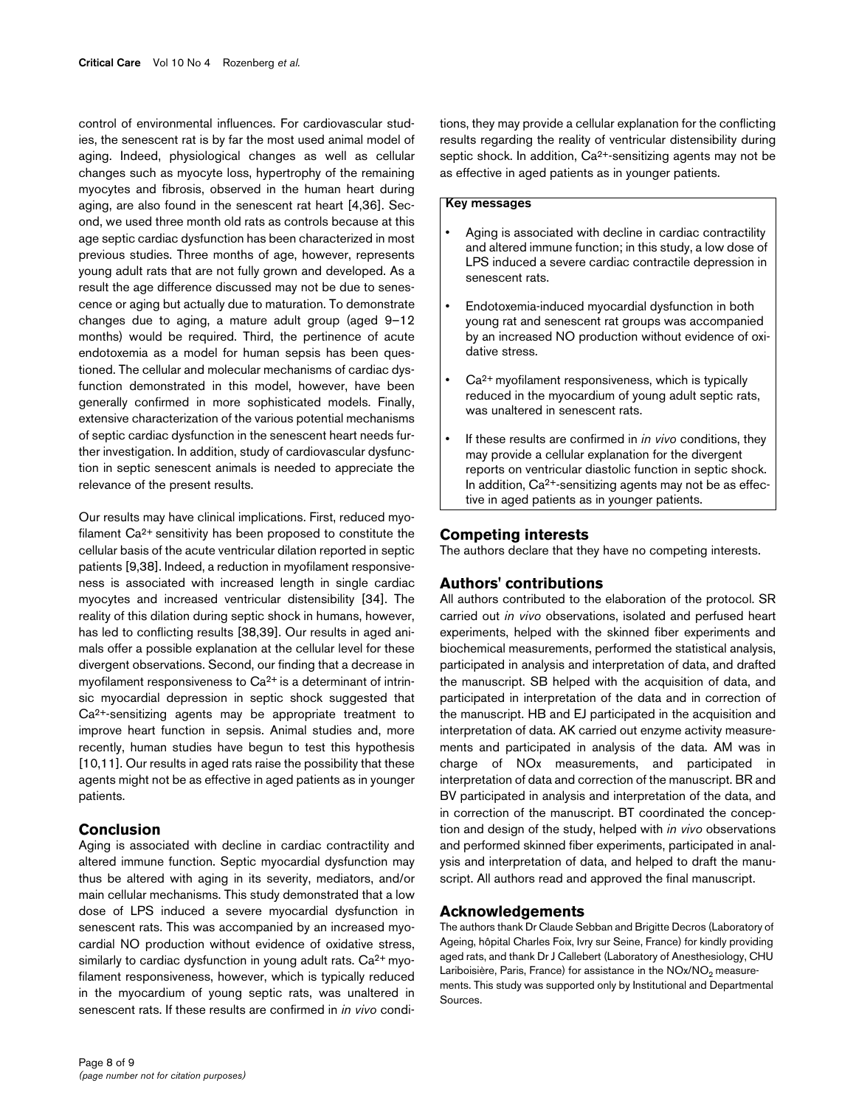control of environmental influences. For cardiovascular studies, the senescent rat is by far the most used animal model of aging. Indeed, physiological changes as well as cellular changes such as myocyte loss, hypertrophy of the remaining myocytes and fibrosis, observed in the human heart during aging, are also found in the senescent rat heart [4,36]. Second, we used three month old rats as controls because at this age septic cardiac dysfunction has been characterized in most previous studies. Three months of age, however, represents young adult rats that are not fully grown and developed. As a result the age difference discussed may not be due to senescence or aging but actually due to maturation. To demonstrate changes due to aging, a mature adult group (aged 9–12 months) would be required. Third, the pertinence of acute endotoxemia as a model for human sepsis has been questioned. The cellular and molecular mechanisms of cardiac dysfunction demonstrated in this model, however, have been generally confirmed in more sophisticated models. Finally, extensive characterization of the various potential mechanisms of septic cardiac dysfunction in the senescent heart needs further investigation. In addition, study of cardiovascular dysfunction in septic senescent animals is needed to appreciate the relevance of the present results.

Our results may have clinical implications. First, reduced myofilament  $Ca<sup>2+</sup>$  sensitivity has been proposed to constitute the cellular basis of the acute ventricular dilation reported in septic patients [\[9,](#page-8-0)38]. Indeed, a reduction in myofilament responsiveness is associated with increased length in single cardiac myocytes and increased ventricular distensibility [34]. The reality of this dilation during septic shock in humans, however, has led to conflicting results [38,39]. Our results in aged animals offer a possible explanation at the cellular level for these divergent observations. Second, our finding that a decrease in myofilament responsiveness to  $Ca<sup>2+</sup>$  is a determinant of intrinsic myocardial depression in septic shock suggested that Ca2+-sensitizing agents may be appropriate treatment to improve heart function in sepsis. Animal studies and, more recently, human studies have begun to test this hypothesis [10,11]. Our results in aged rats raise the possibility that these agents might not be as effective in aged patients as in younger patients.

## **Conclusion**

Aging is associated with decline in cardiac contractility and altered immune function. Septic myocardial dysfunction may thus be altered with aging in its severity, mediators, and/or main cellular mechanisms. This study demonstrated that a low dose of LPS induced a severe myocardial dysfunction in senescent rats. This was accompanied by an increased myocardial NO production without evidence of oxidative stress, similarly to cardiac dysfunction in young adult rats. Ca<sup>2+</sup> myofilament responsiveness, however, which is typically reduced in the myocardium of young septic rats, was unaltered in senescent rats. If these results are confirmed in *in vivo* condi-

### Key messages

- Aging is associated with decline in cardiac contractility and altered immune function; in this study, a low dose of LPS induced a severe cardiac contractile depression in senescent rats.
- Endotoxemia-induced myocardial dysfunction in both young rat and senescent rat groups was accompanied by an increased NO production without evidence of oxidative stress.
- Ca2+ myofilament responsiveness, which is typically reduced in the myocardium of young adult septic rats, was unaltered in senescent rats.
- If these results are confirmed in in vivo conditions, they may provide a cellular explanation for the divergent reports on ventricular diastolic function in septic shock. In addition, Ca<sup>2+</sup>-sensitizing agents may not be as effective in aged patients as in younger patients.

## **Competing interests**

The authors declare that they have no competing interests.

## **Authors' contributions**

All authors contributed to the elaboration of the protocol. SR carried out in vivo observations, isolated and perfused heart experiments, helped with the skinned fiber experiments and biochemical measurements, performed the statistical analysis, participated in analysis and interpretation of data, and drafted the manuscript. SB helped with the acquisition of data, and participated in interpretation of the data and in correction of the manuscript. HB and EJ participated in the acquisition and interpretation of data. AK carried out enzyme activity measurements and participated in analysis of the data. AM was in charge of NOx measurements, and participated in interpretation of data and correction of the manuscript. BR and BV participated in analysis and interpretation of the data, and in correction of the manuscript. BT coordinated the conception and design of the study, helped with in vivo observations and performed skinned fiber experiments, participated in analysis and interpretation of data, and helped to draft the manuscript. All authors read and approved the final manuscript.

## **Acknowledgements**

The authors thank Dr Claude Sebban and Brigitte Decros (Laboratory of Ageing, hôpital Charles Foix, Ivry sur Seine, France) for kindly providing aged rats, and thank Dr J Callebert (Laboratory of Anesthesiology, CHU Lariboisière, Paris, France) for assistance in the  $NOx/NO<sub>2</sub>$  measurements. This study was supported only by Institutional and Departmental Sources.